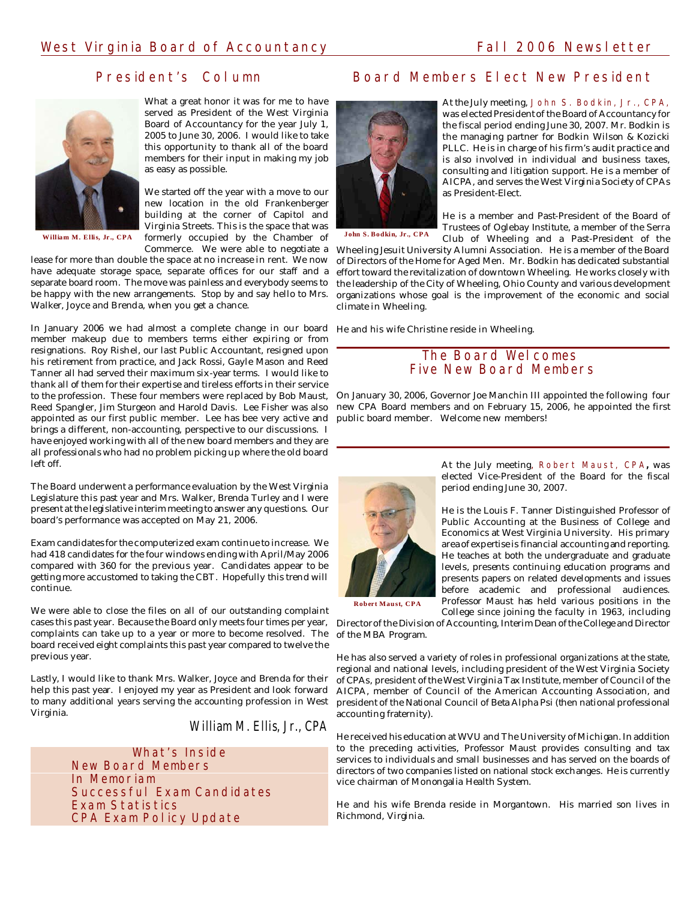# President's Column



What a great honor it was for me to have served as President of the West Virginia Board of Accountancy for the year July 1, 2005 to June 30, 2006. I would like to take this opportunity to thank all of the board members for their input in making my job as easy as possible.

William M. Ellis, Jr., CPA formerly occupied by the Chamber of John S. Bodkin, Jr., CPA We started off the year with a move to our new location in the old Frankenberger building at the corner of Capitol and Virginia Streets. This is the space that was Commerce. We were able to negotiate a

lease for more than double the space at no increase in rent. We now have adequate storage space, separate offices for our staff and a separate board room. The move was painless and everybody seems to be happy with the new arrangements. Stop by and say hello to Mrs. Walker, Joyce and Brenda, when you get a chance.

In January 2006 we had almost a complete change in our board He and his wife Christine reside in Wheeling. member makeup due to members terms either expiring or from resignations. Roy Rishel, our last Public Accountant, resigned upon his retirement from practice, and Jack Rossi, Gayle Mason and Reed Tanner all had served their maximum six-year terms. I would like to thank all of them for their expertise and tireless efforts in their service to the profession. These four members were replaced by Bob Maust, Reed Spangler, Jim Sturgeon and Harold Davis. Lee Fisher was also appointed as our first public member. Lee has bee very active and brings a different, non-accounting, perspective to our discussions. I have enjoyed working with all of the new board members and they are all professionals who had no problem picking up where the old board left off.

The Board underwent a performance evaluation by the West Virginia Legislature this past year and Mrs. Walker, Brenda Turley and I were present at the legislative interim meeting to answer any questions. Our board's performance was accepted on May 21, 2006.

Exam candidates for the computerized exam continue to increase. We had 418 candidates for the four windows ending with April/May 2006 compared with 360 for the previous year. Candidates appear to be getting more accustomed to taking the CBT. Hopefully this trend will continue.

We were able to close the files on all of our outstanding complaint cases this past year. Because the Board only meets four times per year, complaints can take up to a year or more to become resolved. The board received eight complaints this past year compared to twelve the previous year.

Lastly, I would like to thank Mrs. Walker, Joyce and Brenda for their help this past year. I enjoyed my year as President and look forward to many additional years serving the accounting profession in West Virginia.

*William M. Ellis, Jr., CPA*

What's Inside New Board Members In Memoriam Successful Exam Candidates Exam Statistics CPA Exam Policy Update

# Board Members Elect New President



At the July meeting, John S. Bodkin, Jr., CPA, was elected President of the Board of Accountancy for the fiscal period ending June 30, 2007. Mr. Bodkin is the managing partner for Bodkin Wilson & Kozicki PLLC. He is in charge of his firm's audit practice and is also involved in individual and business taxes, consulting and litigation support. He is a member of AICPA, and serves the West Virginia Society of CPAs as President-Elect.

He is a member and Past-President of the Board of Trustees of Oglebay Institute, a member of the Serra Club of Wheeling and a Past-President of the

Wheeling Jesuit University Alumni Association. He is a member of the Board of Directors of the Home for Aged Men. Mr. Bodkin has dedicated substantial effort toward the revitalization of downtown Wheeling. He works closely with the leadership of the City of Wheeling, Ohio County and various development organizations whose goal is the improvement of the economic and social climate in Wheeling.

## The Board Welcomes Five New Board Members

On January 30, 2006, Governor Joe Manchin III appointed the following four new CPA Board members and on February 15, 2006, he appointed the first public board member. Welcome new members!



At the July meeting, Robert Maust, CPA**,** was elected Vice-President of the Board for the fiscal period ending June 30, 2007.

He is the Louis F. Tanner Distinguished Professor of Public Accounting at the Business of College and Economics at West Virginia University. His primary area of expertise is financial accounting and reporting. He teaches at both the undergraduate and graduate levels, presents continuing education programs and presents papers on related developments and issues before academic and professional audiences. Professor Maust has held various positions in the College since joining the faculty in 1963, including

Director of the Division of Accounting, Interim Dean of the College and Director of the MBA Program.

He has also served a variety of roles in professional organizations at the state, regional and national levels, including president of the West Virginia Society of CPAs, president of the West Virginia Tax Institute, member of Council of the AICPA, member of Council of the American Accounting Association, and president of the National Council of Beta Alpha Psi (then national professional accounting fraternity).

He received his education at WVU and The University of Michigan. In addition to the preceding activities, Professor Maust provides consulting and tax services to individuals and small businesses and has served on the boards of directors of two companies listed on national stock exchanges. He is currently vice chairman of Monongalia Health System.

He and his wife Brenda reside in Morgantown. His married son lives in Richmond, Virginia.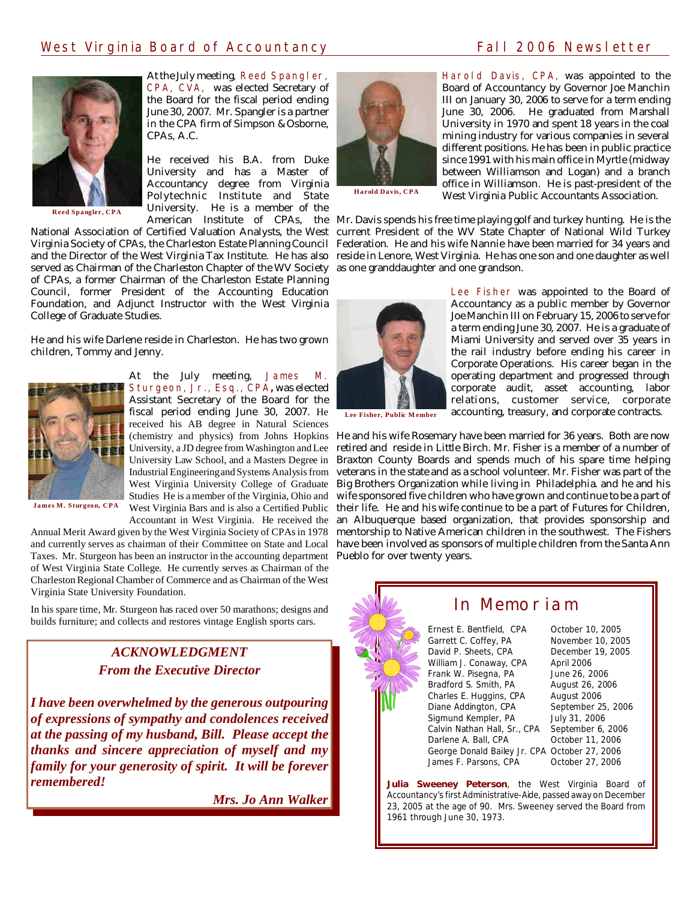# West Virginia Board of Accountancy Train Communication Call 2006 Newsletter



**Reed Spangler, CPA**

At the July meeting, Reed Spangler, CPA, CVA, was elected Secretary of the Board for the fiscal period ending June 30, 2007. Mr. Spangler is a partner in the CPA firm of Simpson & Osborne, CPAs, A.C.

He received his B.A. from Duke University and has a Master of Accountancy degree from Virginia Polytechnic Institute and State University. He is a member of the

Virginia Society of CPAs, the Charleston Estate Planning Council served as Chairman of the Charleston Chapter of the WV Society as one granddaughter and one grandson. of CPAs, a former Chairman of the Charleston Estate Planning Council, former President of the Accounting Education Foundation, and Adjunct Instructor with the West Virginia College of Graduate Studies.

He and his wife Darlene reside in Charleston. He has two grown children, Tommy and Jenny.



At the July meeting, James M. **Sturgeon, Jr., Esq., CPA, was elected** Assistant Secretary of the Board for the fiscal period ending June 30, 2007. He received his AB degree in Natural Sciences (chemistry and physics) from Johns Hopkins University, a JD degree from Washington and Lee University Law School, and a Masters Degree in Industrial EngineeringandSystems Analysis from West Virginia University College of Graduate Studies He is a member of the Virginia, Ohio and

**James M. Sturgeon, CPA**

Annual Merit Award given by the West Virginia Society of CPAs in 1978 Taxes. Mr. Sturgeon has been an instructor in the accounting department Pueblo for over twenty years. of West Virginia State College. He currently serves as Chairman of the Charleston Regional Chamber of Commerce and as Chairman of the West Virginia State University Foundation.

In his spare time, Mr. Sturgeon has raced over 50 marathons; designs and builds furniture; and collects and restores vintage English sports cars.

# *ACKNOWLEDGMENT From the Executive Director*

*I have been overwhelmed by the generous outpouring of expressions of sympathy and condolences received at the passing of my husband, Bill. Please accept the thanks and sincere appreciation of myself and my family for your generosity of spirit. It will be forever remembered!*

*Mrs. Jo Ann Walker*



**Harold Davis, CPA**

Harold Davis, CPA, was appointed to the Board of Accountancy by Governor Joe Manchin III on January 30, 2006 to serve for a term ending June 30, 2006. He graduated from Marshall University in 1970 and spent 18 years in the coal mining industry for various companies in several different positions. He has been in public practice since 1991 with his main office in Myrtle (midway between Williamson and Logan) and a branch office in Williamson. He is past-president of the West Virginia Public Accountants Association.

American Institute of CPAs, the Mr. Davis spends his free time playing golf and turkey hunting. He is the National Association of Certified Valuation Analysts, the West current President of the WV State Chapter of National Wild Turkey and the Director of the West Virginia Tax Institute. He has also) reside in Lenore, West Virginia. He has one son and one daughter as well Federation. He and his wife Nannie have been married for 34 years and



Lee Fisher was appointed to the Board of Accountancy as a public member by Governor Joe Manchin III on February 15, 2006 to serve for a term ending June 30, 2007. He is a graduate of Miami University and served over 35 years in the rail industry before ending his career in Corporate Operations. His career began in the operating department and progressed through corporate audit, asset accounting, labor relations, customer service, corporate accounting, treasury, and corporate contracts.

**Lee Fisher, Public M ember**

West Virginia Bars and is also a Certified Public their life. He and his wife continue to be a part of Futures for Children, Accountant in West Virginia. He received the an Albuquerque based organization, that provides sponsorship and and currently serves as chairman of their Committee on State and Local have been involved as sponsors of multiple children from the Santa Ann He and his wife Rosemary have been married for 36 years. Both are now retired and reside in Little Birch. Mr. Fisher is a member of a number of Braxton County Boards and spends much of his spare time helping veterans in the state and as a school volunteer. Mr. Fisher was part of the Big Brothers Organization while living in Philadelphia. and he and his wife sponsored five children who have grown and continue to be a part of mentorship to Native American children in the southwest. The Fishers



# In Memoriam

Ernest E. Bentfield, CPA October 10, 2005 Garrett C. Coffey, PA November 10, 2005 David P. Sheets, CPA December 19, 2005 William J. Conaway, CPA April 2006<br>Frank W. Pisegna, PA June 26, 2006 Frank W. Pisegna, PA June 26, 2006<br>Bradford S. Smith. PA August 26, 2006 Bradford S. Smith, PA Charles E. Huggins, CPA August 2006<br>Diane Addington, CPA September 25, 2006 Diane Addington, CPA September 25,<br>Sigmund Kempler, PA July 31, 2006 Sigmund Kempler, PA Calvin Nathan Hall, Sr., CPA September 6, 2006 Darlene A. Ball, CPA Cotober 11, 2006 George Donald Bailey Jr. CPA October 27, 2006 James F. Parsons, CPA

**Julia Sweeney Peterson**, the West Virginia Board of Accountancy's first Administrative-Aide, passed away on December 23, 2005 at the age of 90. Mrs. Sweeney served the Board from 1961 through June 30, 1973.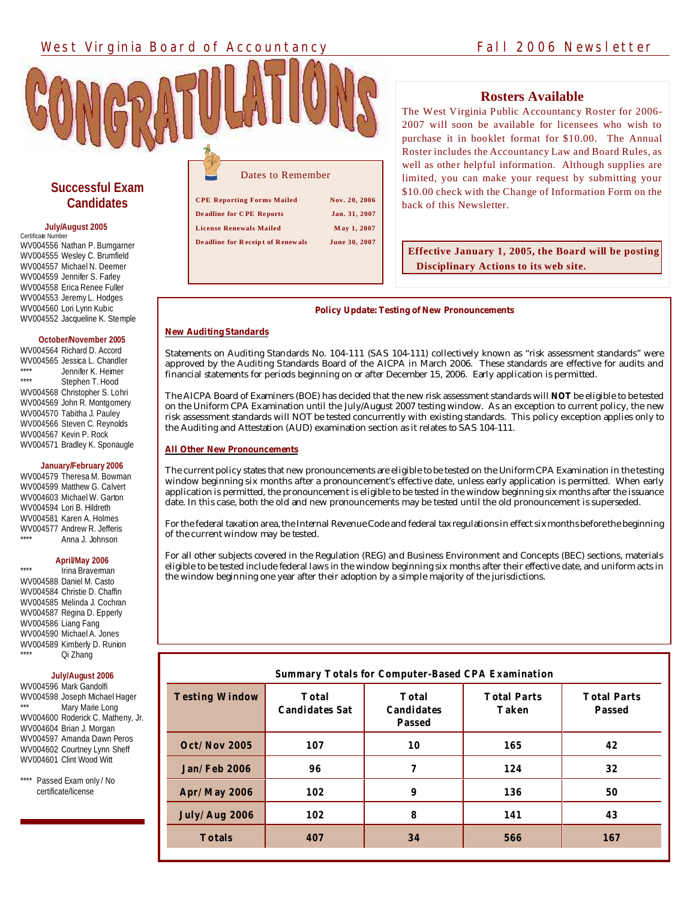# West Virginia Board of Accountancy Fall 2006 Newsletter



## **Rosters Available**

The West Virginia Public Accountancy Roster for 2006- 2007 will soon be available for licensees who wish to purchase it in booklet format for \$10.00. The Annual Roster includes the Accountancy Law and Board Rules, as well as other helpful information. Although supplies are limited, you can make your request by submitting your \$10.00 check with the Change of Information Form on the back of this Newsletter.

# **Successful Exam Candidates**

#### **July/August 2005**

Certificate Number WV004556 Nathan P. Bumgarner WV004555 Wesley C. Brumfield WV004557 Michael N. Deemer WV004559 Jennifer S. Farley WV004558 Erica Renee Fuller WV004553 Jeremy L. Hodges WV004560 Lori Lynn Kubic WV004552 Jacqueline K. Stemple

#### **October/November 2005**

WV004564 Richard D. Accord WV004565 Jessica L. Chandler \*\*\*\* Jennifer K. Heimer Stephen T. Hood WV004568 Christopher S. Lohri WV004569 John R. Montgomery WV004570 Tabitha J. Pauley WV004566 Steven C. Reynolds WV004567 Kevin P. Rock WV004571 Bradley K. Sponaugle

#### **January/February 2006**

WV004579 Theresa M. Bowman WV004599 Matthew G. Calvert WV004603 Michael W. Garton WV004594 Lori B. Hildreth WV004581 Karen A. Holmes WV004577 Andrew R. Jefferis Anna J. Johnson

#### **April/May 2006**

Irina Braverman WV004588 Daniel M. Casto WV004584 Christie D. Chaffin WV004585 Melinda J. Cochran WV004587 Regina D. Epperly WV004586 Liang Fang WV004590 Michael A. Jones WV004589 Kimberly D. Runion Qi Zhang

**July/August 2006**

WV004596 Mark Gandolfi WV004598 Joseph Michael Hager Mary Marie Long WV004600 Roderick C. Matheny, Jr. WV004604 Brian J. Morgan WV004597 Amanda Dawn Peros WV004602 Courtney Lynn Sheff WV004601 Clint Wood Witt

Passed Exam only / No certificate/license

| Dates to Remember                       |               |  |
|-----------------------------------------|---------------|--|
| <b>CPE Reporting Forms Mailed</b>       | Nov. 20, 2006 |  |
| <b>Deadline for CPE Reports</b>         | Jan. 31, 2007 |  |
| <b>License Renewals Mailed</b>          | May 1, 2007   |  |
| <b>Deadline for Receipt of Renewals</b> | June 30, 2007 |  |

**De adline for C PE Re ports Jan. 31, 2007 License Renewals Mailed M ay 1, 2007**

#### **De adline for R eceip t of Renew als June 30, 2007**

# **Effective January 1, 2005, the Board will be posting Disciplinary Actions to its web site.**

#### **Policy Update: Testing of New Pronouncements**

#### **New Auditing Standards**

Statements on Auditing Standards No. 104-111 (SAS 104-111) collectively known as "risk assessment standards" were approved by the Auditing Standards Board of the AICPA in March 2006. These standards are effective for audits and financial statements for periods beginning on or after December 15, 2006. Early application is permitted.

The AICPA Board of Examiners (BOE) has decided that the new risk assessment standards will **NOT** be eligible to be tested on the Uniform CPA Examination until the July/August 2007 testing window. As an exception to current policy, the new risk assessment standards will NOT be tested concurrently with existing standards. This policy exception applies only to the Auditing and Attestation (AUD) examination section as it relates to SAS 104-111.

#### **All Other New Pronouncements**

The current policy states that new pronouncements are eligible to be tested on the Uniform CPA Examination in the testing window beginning six months after a pronouncement's effective date, unless early application is permitted. When early application is permitted, the pronouncement is eligible to be tested in the window beginning six months after the issuance date. In this case, both the old and new pronouncements may be tested until the old pronouncement is superseded.

For the federal taxation area, the Internal Revenue Code and federal tax regulations in effect six months before the beginning of the current window may be tested.

For all other subjects covered in the Regulation (REG) and Business Environment and Concepts (BEC) sections, materials eligible to be tested include federal laws in the window beginning six months after their effective date, and uniform acts in the window beginning one year after their adoption by a simple majority of the jurisdictions.

### **Summary Totals for Computer-Based CPA Examination Testing Window Total Candidates Sat Total Candidates Passed Total Parts Taken Total Parts Passed Oct/Nov 2005 107 10 165 42 Jan/Feb 2006 96 7 124 32 Apr/May 2006 102 9 136 50 July/Aug 2006 102 8 141 43 Totals 407 34 566 167**